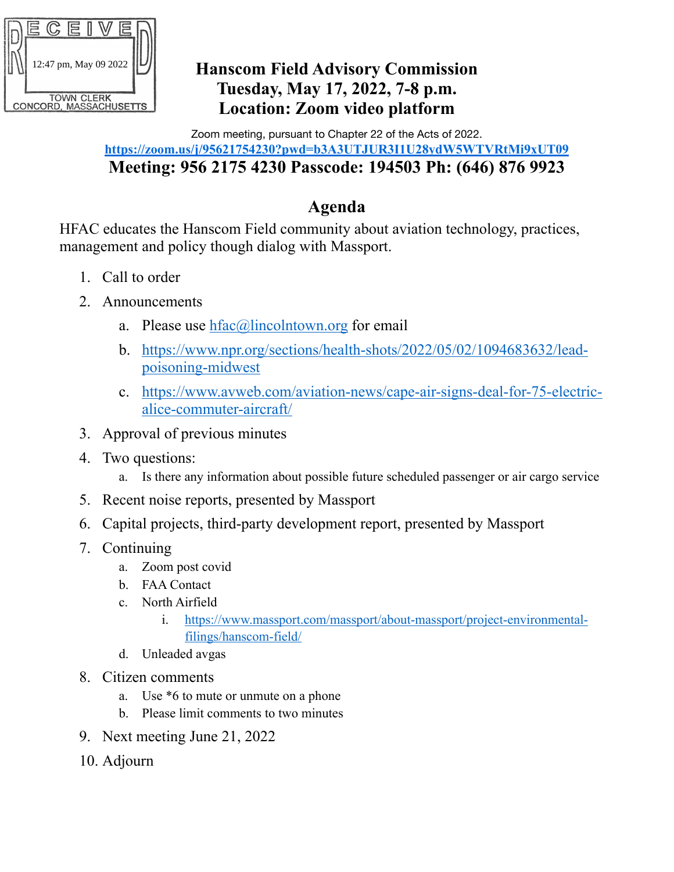

### **Hanscom Field Advisory Commission Tuesday, May 17, 2022, 7-8 p.m. Location: Zoom video platform**

#### Zoom meeting, pursuant to Chapter 22 of the Acts of 2022. **https://zoom.us/j/95621754230?pwd=b3A3UTJUR3I1U28ydW5WTVRtMi9xUT09 Meeting: 956 2175 4230 Passcode: 194503 Ph: (646) 876 9923**

## **Agenda**

HFAC educates the Hanscom Field community about aviation technology, practices, management and policy though dialog with Massport.

- 1. Call to order
- 2. Announcements
	- a. Please use  $hfac@lineohtown.org$  for email
	- b. [https://www.npr.org/sections/health-shots/2022/05/02/1094683632/lead](https://www.npr.org/sections/health-shots/2022/05/02/1094683632/lead-poisoning-midwest)[poisoning-midwest](https://www.npr.org/sections/health-shots/2022/05/02/1094683632/lead-poisoning-midwest)
	- c. [https://www.avweb.com/aviation-news/cape-air-signs-deal-for-75-electric](https://www.avweb.com/aviation-news/cape-air-signs-deal-for-75-electric-alice-commuter-aircraft/)[alice-commuter-aircraft/](https://www.avweb.com/aviation-news/cape-air-signs-deal-for-75-electric-alice-commuter-aircraft/)
- 3. Approval of previous minutes
- 4. Two questions:
	- a. Is there any information about possible future scheduled passenger or air cargo service
- 5. Recent noise reports, presented by Massport
- 6. Capital projects, third-party development report, presented by Massport
- 7. Continuing
	- a. Zoom post covid
	- b. FAA Contact
	- c. North Airfield
		- i. [https://www.massport.com/massport/about-massport/project-environmental](https://www.massport.com/massport/about-massport/project-environmental-filings/hanscom-field/)[filings/hanscom-field/](https://www.massport.com/massport/about-massport/project-environmental-filings/hanscom-field/)
	- d. Unleaded avgas
- 8. Citizen comments
	- a. Use \*6 to mute or unmute on a phone
	- b. Please limit comments to two minutes
- 9. Next meeting June 21, 2022
- 10. Adjourn